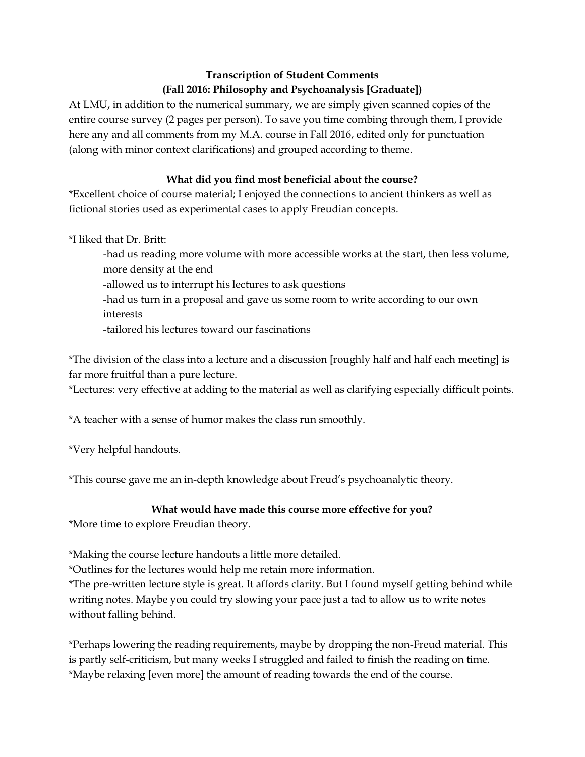## Transcription of Student Comments (Fall 2016: Philosophy and Psychoanalysis [Graduate])

At LMU, in addition to the numerical summary, we are simply given scanned copies of the entire course survey (2 pages per person). To save you time combing through them, I provide here any and all comments from my M.A. course in Fall 2016, edited only for punctuation (along with minor context clarifications) and grouped according to theme.

## What did you find most beneficial about the course?

\*Excellent choice of course material; I enjoyed the connections to ancient thinkers as well as fictional stories used as experimental cases to apply Freudian concepts.

\*I liked that Dr. Britt:

-had us reading more volume with more accessible works at the start, then less volume, more density at the end -allowed us to interrupt his lectures to ask questions -had us turn in a proposal and gave us some room to write according to our own interests -tailored his lectures toward our fascinations

\*The division of the class into a lecture and a discussion [roughly half and half each meeting] is far more fruitful than a pure lecture.

\*Lectures: very effective at adding to the material as well as clarifying especially difficult points.

\*A teacher with a sense of humor makes the class run smoothly.

\*Very helpful handouts.

\*This course gave me an in-depth knowledge about Freud's psychoanalytic theory.

## What would have made this course more effective for you?

\*More time to explore Freudian theory.

\*Making the course lecture handouts a little more detailed.

\*Outlines for the lectures would help me retain more information.

\*The pre-written lecture style is great. It affords clarity. But I found myself getting behind while writing notes. Maybe you could try slowing your pace just a tad to allow us to write notes without falling behind.

\*Perhaps lowering the reading requirements, maybe by dropping the non-Freud material. This is partly self-criticism, but many weeks I struggled and failed to finish the reading on time. \*Maybe relaxing [even more] the amount of reading towards the end of the course.